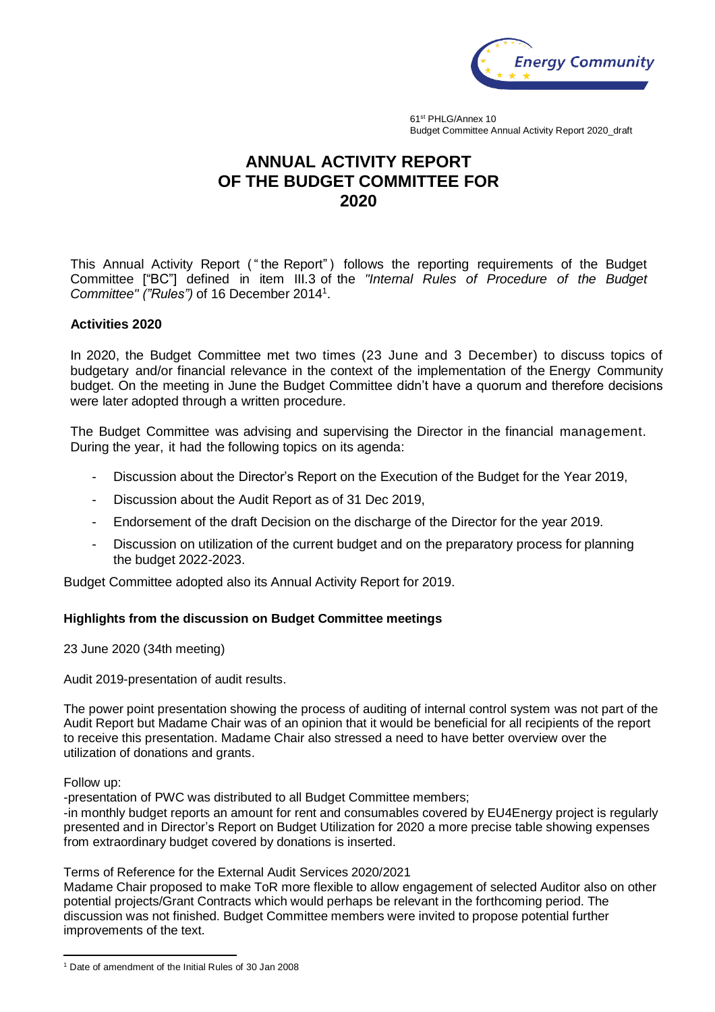

61st PHLG/Annex 10 Budget Committee Annual Activity Report 2020\_draft

## **ANNUAL ACTIVITY REPORT OF THE BUDGET COMMITTEE FOR 2020**

This Annual Activity Report ( " the Report") follows the reporting requirements of the Budget Committee ["BC"] defined in item III.3 of the *"Internal Rules of Procedure of the Budget Committee" ("Rules")* of 16 December 2014<sup>1</sup> .

## **Activities 2020**

In 2020, the Budget Committee met two times (23 June and 3 December) to discuss topics of budgetary and/or financial relevance in the context of the implementation of the Energy Community budget. On the meeting in June the Budget Committee didn't have a quorum and therefore decisions were later adopted through a written procedure.

The Budget Committee was advising and supervising the Director in the financial management. During the year, it had the following topics on its agenda:

- Discussion about the Director's Report on the Execution of the Budget for the Year 2019,
- Discussion about the Audit Report as of 31 Dec 2019,
- Endorsement of the draft Decision on the discharge of the Director for the year 2019.
- Discussion on utilization of the current budget and on the preparatory process for planning the budget 2022-2023.

Budget Committee adopted also its Annual Activity Report for 2019.

## **Highlights from the discussion on Budget Committee meetings**

23 June 2020 (34th meeting)

Audit 2019-presentation of audit results.

The power point presentation showing the process of auditing of internal control system was not part of the Audit Report but Madame Chair was of an opinion that it would be beneficial for all recipients of the report to receive this presentation. Madame Chair also stressed a need to have better overview over the utilization of donations and grants.

Follow up:

-presentation of PWC was distributed to all Budget Committee members;

-in monthly budget reports an amount for rent and consumables covered by EU4Energy project is regularly presented and in Director's Report on Budget Utilization for 2020 a more precise table showing expenses from extraordinary budget covered by donations is inserted.

Terms of Reference for the External Audit Services 2020/2021

Madame Chair proposed to make ToR more flexible to allow engagement of selected Auditor also on other potential projects/Grant Contracts which would perhaps be relevant in the forthcoming period. The discussion was not finished. Budget Committee members were invited to propose potential further improvements of the text.

 $\ddot{\phantom{a}}$ <sup>1</sup> Date of amendment of the Initial Rules of 30 Jan 2008